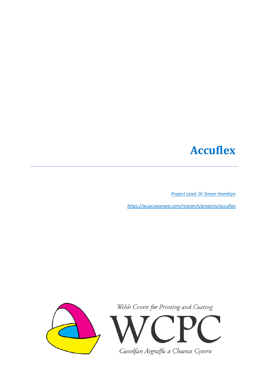## **Accuflex**

*[Project Lead: Dr Simon Hamblyn](mailto:s.m.hamblyn@swansea.ac.uk)*

*<https://wcpcswansea.com/research/projects/accuflex>*



Welsh Centre for Printing and Coating

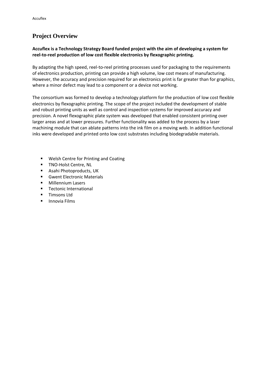## **Project Overview**

## **Accuflex is a Technology Strategy Board funded project with the aim of developing a system for reel-to-reel production of low cost flexible electronics by flexographic printing.**

By adapting the high speed, reel-to-reel printing processes used for packaging to the requirements of electronics production, printing can provide a high volume, low cost means of manufacturing. However, the accuracy and precision required for an electronics print is far greater than for graphics, where a minor defect may lead to a component or a device not working.

The consortium was formed to develop a technology platform for the production of low cost flexible electronics by flexographic printing. The scope of the project included the development of stable and robust printing units as well as control and inspection systems for improved accuracy and precision. A novel flexographic plate system was developed that enabled consistent printing over larger areas and at lower pressures. Further functionality was added to the process by a laser machining module that can ablate patterns into the ink film on a moving web. In addition functional inks were developed and printed onto low cost substrates including biodegradable materials.

- Welsh Centre for Printing and Coating
- **TNO-Holst Centre, NL**
- Asahi Photoproducts, UK
- **Gwent Electronic Materials**
- **Millennium Lasers**
- **Tectonic International**
- **Timsons Ltd**
- **Innovia Films**